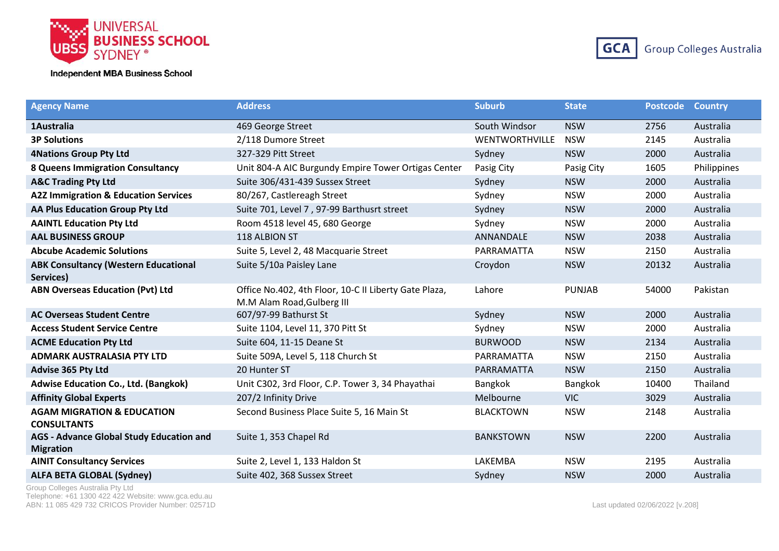



| <b>Agency Name</b>                                                  | <b>Address</b>                                                                      | <b>Suburb</b>         | <b>State</b>  | <b>Postcode</b> | <b>Country</b> |
|---------------------------------------------------------------------|-------------------------------------------------------------------------------------|-----------------------|---------------|-----------------|----------------|
| 1 Australia                                                         | 469 George Street                                                                   | South Windsor         | <b>NSW</b>    | 2756            | Australia      |
| <b>3P Solutions</b>                                                 | 2/118 Dumore Street                                                                 | <b>WENTWORTHVILLE</b> | <b>NSW</b>    | 2145            | Australia      |
| <b>4Nations Group Pty Ltd</b>                                       | 327-329 Pitt Street                                                                 | Sydney                | <b>NSW</b>    | 2000            | Australia      |
| <b>8 Queens Immigration Consultancy</b>                             | Unit 804-A AIC Burgundy Empire Tower Ortigas Center                                 | Pasig City            | Pasig City    | 1605            | Philippines    |
| <b>A&amp;C Trading Pty Ltd</b>                                      | Suite 306/431-439 Sussex Street                                                     | Sydney                | <b>NSW</b>    | 2000            | Australia      |
| <b>A2Z Immigration &amp; Education Services</b>                     | 80/267, Castlereagh Street                                                          | Sydney                | <b>NSW</b>    | 2000            | Australia      |
| AA Plus Education Group Pty Ltd                                     | Suite 701, Level 7, 97-99 Barthusrt street                                          | Sydney                | <b>NSW</b>    | 2000            | Australia      |
| <b>AAINTL Education Pty Ltd</b>                                     | Room 4518 level 45, 680 George                                                      | Sydney                | <b>NSW</b>    | 2000            | Australia      |
| <b>AAL BUSINESS GROUP</b>                                           | 118 ALBION ST                                                                       | ANNANDALE             | <b>NSW</b>    | 2038            | Australia      |
| <b>Abcube Academic Solutions</b>                                    | Suite 5, Level 2, 48 Macquarie Street                                               | PARRAMATTA            | <b>NSW</b>    | 2150            | Australia      |
| <b>ABK Consultancy (Western Educational</b><br>Services)            | Suite 5/10a Paisley Lane                                                            | Croydon               | <b>NSW</b>    | 20132           | Australia      |
| <b>ABN Overseas Education (Pvt) Ltd</b>                             | Office No.402, 4th Floor, 10-C II Liberty Gate Plaza,<br>M.M Alam Road, Gulberg III | Lahore                | <b>PUNJAB</b> | 54000           | Pakistan       |
| <b>AC Overseas Student Centre</b>                                   | 607/97-99 Bathurst St                                                               | Sydney                | <b>NSW</b>    | 2000            | Australia      |
| <b>Access Student Service Centre</b>                                | Suite 1104, Level 11, 370 Pitt St                                                   | Sydney                | <b>NSW</b>    | 2000            | Australia      |
| <b>ACME Education Pty Ltd</b>                                       | Suite 604, 11-15 Deane St                                                           | <b>BURWOOD</b>        | <b>NSW</b>    | 2134            | Australia      |
| <b>ADMARK AUSTRALASIA PTY LTD</b>                                   | Suite 509A, Level 5, 118 Church St                                                  | PARRAMATTA            | <b>NSW</b>    | 2150            | Australia      |
| Advise 365 Pty Ltd                                                  | 20 Hunter ST                                                                        | PARRAMATTA            | <b>NSW</b>    | 2150            | Australia      |
| <b>Adwise Education Co., Ltd. (Bangkok)</b>                         | Unit C302, 3rd Floor, C.P. Tower 3, 34 Phayathai                                    | Bangkok               | Bangkok       | 10400           | Thailand       |
| <b>Affinity Global Experts</b>                                      | 207/2 Infinity Drive                                                                | Melbourne             | <b>VIC</b>    | 3029            | Australia      |
| <b>AGAM MIGRATION &amp; EDUCATION</b><br><b>CONSULTANTS</b>         | Second Business Place Suite 5, 16 Main St                                           | <b>BLACKTOWN</b>      | <b>NSW</b>    | 2148            | Australia      |
| <b>AGS - Advance Global Study Education and</b><br><b>Migration</b> | Suite 1, 353 Chapel Rd                                                              | <b>BANKSTOWN</b>      | <b>NSW</b>    | 2200            | Australia      |
| <b>AINIT Consultancy Services</b>                                   | Suite 2, Level 1, 133 Haldon St                                                     | LAKEMBA               | <b>NSW</b>    | 2195            | Australia      |
| <b>ALFA BETA GLOBAL (Sydney)</b>                                    | Suite 402, 368 Sussex Street                                                        | Sydney                | <b>NSW</b>    | 2000            | Australia      |

Group Colleges Australia Pty Ltd Telephone: +61 1300 422 422 Website: www.gca.edu.au ABN: 11 085 429 732 CRICOS Provider Number: 02571D <br>
Last updated 02/06/2022 [v.208]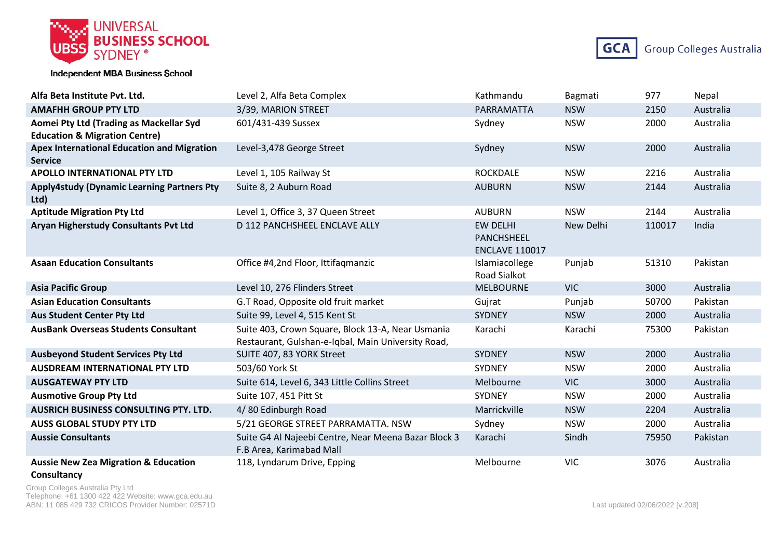



| Alfa Beta Institute Pvt. Ltd.                                                       | Level 2, Alfa Beta Complex                                                                              | Kathmandu                                              | Bagmati    | 977    | Nepal     |
|-------------------------------------------------------------------------------------|---------------------------------------------------------------------------------------------------------|--------------------------------------------------------|------------|--------|-----------|
| <b>AMAFHH GROUP PTY LTD</b>                                                         | 3/39, MARION STREET                                                                                     | PARRAMATTA                                             | <b>NSW</b> | 2150   | Australia |
| Aomei Pty Ltd (Trading as Mackellar Syd<br><b>Education &amp; Migration Centre)</b> | 601/431-439 Sussex                                                                                      | Sydney                                                 | <b>NSW</b> | 2000   | Australia |
| <b>Apex International Education and Migration</b><br><b>Service</b>                 | Level-3,478 George Street                                                                               | Sydney                                                 | <b>NSW</b> | 2000   | Australia |
| <b>APOLLO INTERNATIONAL PTY LTD</b>                                                 | Level 1, 105 Railway St                                                                                 | <b>ROCKDALE</b>                                        | <b>NSW</b> | 2216   | Australia |
| <b>Apply4study (Dynamic Learning Partners Pty</b><br>Ltd)                           | Suite 8, 2 Auburn Road                                                                                  | <b>AUBURN</b>                                          | <b>NSW</b> | 2144   | Australia |
| <b>Aptitude Migration Pty Ltd</b>                                                   | Level 1, Office 3, 37 Queen Street                                                                      | <b>AUBURN</b>                                          | <b>NSW</b> | 2144   | Australia |
| <b>Aryan Higherstudy Consultants Pvt Ltd</b>                                        | D 112 PANCHSHEEL ENCLAVE ALLY                                                                           | <b>EW DELHI</b><br>PANCHSHEEL<br><b>ENCLAVE 110017</b> | New Delhi  | 110017 | India     |
| <b>Asaan Education Consultants</b>                                                  | Office #4,2nd Floor, Ittifagmanzic                                                                      | Islamiacollege<br><b>Road Sialkot</b>                  | Punjab     | 51310  | Pakistan  |
| <b>Asia Pacific Group</b>                                                           | Level 10, 276 Flinders Street                                                                           | <b>MELBOURNE</b>                                       | <b>VIC</b> | 3000   | Australia |
| <b>Asian Education Consultants</b>                                                  | G.T Road, Opposite old fruit market                                                                     | Gujrat                                                 | Punjab     | 50700  | Pakistan  |
| <b>Aus Student Center Pty Ltd</b>                                                   | Suite 99, Level 4, 515 Kent St                                                                          | <b>SYDNEY</b>                                          | <b>NSW</b> | 2000   | Australia |
| <b>AusBank Overseas Students Consultant</b>                                         | Suite 403, Crown Square, Block 13-A, Near Usmania<br>Restaurant, Gulshan-e-Iqbal, Main University Road, | Karachi                                                | Karachi    | 75300  | Pakistan  |
| <b>Ausbeyond Student Services Pty Ltd</b>                                           | SUITE 407, 83 YORK Street                                                                               | SYDNEY                                                 | <b>NSW</b> | 2000   | Australia |
| <b>AUSDREAM INTERNATIONAL PTY LTD</b>                                               | 503/60 York St                                                                                          | <b>SYDNEY</b>                                          | <b>NSW</b> | 2000   | Australia |
| <b>AUSGATEWAY PTY LTD</b>                                                           | Suite 614, Level 6, 343 Little Collins Street                                                           | Melbourne                                              | <b>VIC</b> | 3000   | Australia |
| <b>Ausmotive Group Pty Ltd</b>                                                      | Suite 107, 451 Pitt St                                                                                  | <b>SYDNEY</b>                                          | <b>NSW</b> | 2000   | Australia |
| <b>AUSRICH BUSINESS CONSULTING PTY. LTD.</b>                                        | 4/80 Edinburgh Road                                                                                     | Marrickville                                           | <b>NSW</b> | 2204   | Australia |
| <b>AUSS GLOBAL STUDY PTY LTD</b>                                                    | 5/21 GEORGE STREET PARRAMATTA. NSW                                                                      | Sydney                                                 | <b>NSW</b> | 2000   | Australia |
| <b>Aussie Consultants</b>                                                           | Suite G4 Al Najeebi Centre, Near Meena Bazar Block 3<br>F.B Area, Karimabad Mall                        | Karachi                                                | Sindh      | 75950  | Pakistan  |
| <b>Aussie New Zea Migration &amp; Education</b>                                     | 118, Lyndarum Drive, Epping                                                                             | Melbourne                                              | <b>VIC</b> | 3076   | Australia |

## **Consultancy**

Group Colleges Australia Pty Ltd Telephone: +61 1300 422 422 Website: www.gca.edu.au ABN: 11 085 429 732 CRICOS Provider Number: 02571D Last updated 02/06/2022 [v.208]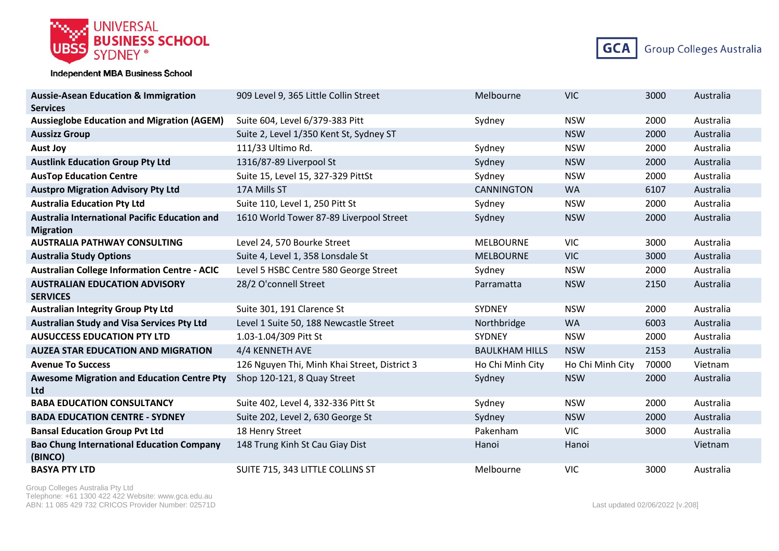



| <b>Aussie-Asean Education &amp; Immigration</b>                      | 909 Level 9, 365 Little Collin Street        | Melbourne             | <b>VIC</b>       | 3000  | Australia |
|----------------------------------------------------------------------|----------------------------------------------|-----------------------|------------------|-------|-----------|
| <b>Services</b><br><b>Aussieglobe Education and Migration (AGEM)</b> | Suite 604, Level 6/379-383 Pitt              | Sydney                | <b>NSW</b>       | 2000  | Australia |
| <b>Aussizz Group</b>                                                 | Suite 2, Level 1/350 Kent St, Sydney ST      |                       | <b>NSW</b>       | 2000  | Australia |
| <b>Aust Joy</b>                                                      | 111/33 Ultimo Rd.                            | Sydney                | <b>NSW</b>       | 2000  | Australia |
| <b>Austlink Education Group Pty Ltd</b>                              | 1316/87-89 Liverpool St                      | Sydney                | <b>NSW</b>       | 2000  | Australia |
| <b>AusTop Education Centre</b>                                       | Suite 15, Level 15, 327-329 PittSt           | Sydney                | <b>NSW</b>       | 2000  | Australia |
| <b>Austpro Migration Advisory Pty Ltd</b>                            | 17A Mills ST                                 | <b>CANNINGTON</b>     | <b>WA</b>        | 6107  |           |
|                                                                      |                                              |                       |                  |       | Australia |
| <b>Australia Education Pty Ltd</b>                                   | Suite 110, Level 1, 250 Pitt St              | Sydney                | <b>NSW</b>       | 2000  | Australia |
| Australia International Pacific Education and<br><b>Migration</b>    | 1610 World Tower 87-89 Liverpool Street      | Sydney                | <b>NSW</b>       | 2000  | Australia |
| <b>AUSTRALIA PATHWAY CONSULTING</b>                                  | Level 24, 570 Bourke Street                  | <b>MELBOURNE</b>      | <b>VIC</b>       | 3000  | Australia |
| <b>Australia Study Options</b>                                       | Suite 4, Level 1, 358 Lonsdale St            | <b>MELBOURNE</b>      | <b>VIC</b>       | 3000  | Australia |
| <b>Australian College Information Centre - ACIC</b>                  | Level 5 HSBC Centre 580 George Street        | Sydney                | <b>NSW</b>       | 2000  | Australia |
| <b>AUSTRALIAN EDUCATION ADVISORY</b><br><b>SERVICES</b>              | 28/2 O'connell Street                        | Parramatta            | <b>NSW</b>       | 2150  | Australia |
| <b>Australian Integrity Group Pty Ltd</b>                            | Suite 301, 191 Clarence St                   | SYDNEY                | <b>NSW</b>       | 2000  | Australia |
| <b>Australian Study and Visa Services Pty Ltd</b>                    | Level 1 Suite 50, 188 Newcastle Street       | Northbridge           | <b>WA</b>        | 6003  | Australia |
| <b>AUSUCCESS EDUCATION PTY LTD</b>                                   | 1.03-1.04/309 Pitt St                        | SYDNEY                | <b>NSW</b>       | 2000  | Australia |
| <b>AUZEA STAR EDUCATION AND MIGRATION</b>                            | 4/4 KENNETH AVE                              | <b>BAULKHAM HILLS</b> | <b>NSW</b>       | 2153  | Australia |
| <b>Avenue To Success</b>                                             | 126 Nguyen Thi, Minh Khai Street, District 3 | Ho Chi Minh City      | Ho Chi Minh City | 70000 | Vietnam   |
| <b>Awesome Migration and Education Centre Pty</b><br><b>Ltd</b>      | Shop 120-121, 8 Quay Street                  | Sydney                | <b>NSW</b>       | 2000  | Australia |
| <b>BABA EDUCATION CONSULTANCY</b>                                    | Suite 402, Level 4, 332-336 Pitt St          | Sydney                | <b>NSW</b>       | 2000  | Australia |
| <b>BADA EDUCATION CENTRE - SYDNEY</b>                                | Suite 202, Level 2, 630 George St            | Sydney                | <b>NSW</b>       | 2000  | Australia |
| <b>Bansal Education Group Pvt Ltd</b>                                | 18 Henry Street                              | Pakenham              | <b>VIC</b>       | 3000  | Australia |
| <b>Bao Chung International Education Company</b><br>(BINCO)          | 148 Trung Kinh St Cau Giay Dist              | Hanoi                 | Hanoi            |       | Vietnam   |
| <b>BASYA PTY LTD</b>                                                 | SUITE 715, 343 LITTLE COLLINS ST             | Melbourne             | <b>VIC</b>       | 3000  | Australia |

Group Colleges Australia Pty Ltd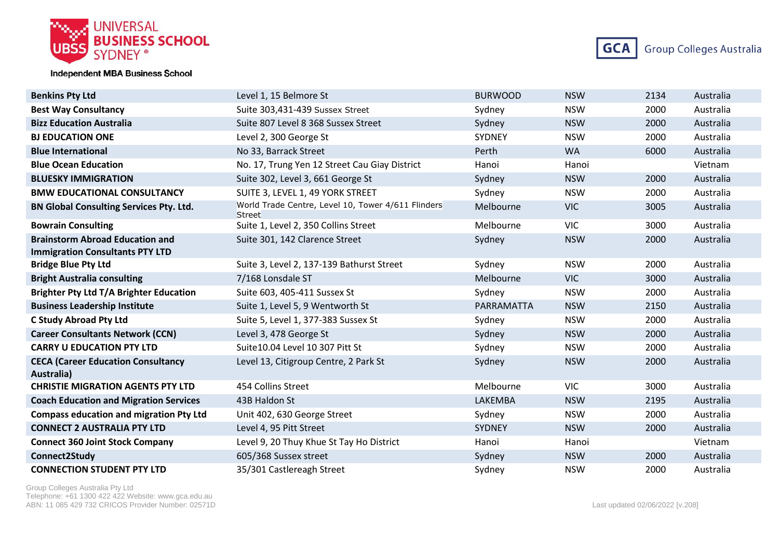



| <b>Benkins Pty Ltd</b>                                                           | Level 1, 15 Belmore St                                              | <b>BURWOOD</b> | <b>NSW</b> | 2134 | Australia |
|----------------------------------------------------------------------------------|---------------------------------------------------------------------|----------------|------------|------|-----------|
| <b>Best Way Consultancy</b>                                                      | Suite 303,431-439 Sussex Street                                     | Sydney         | <b>NSW</b> | 2000 | Australia |
| <b>Bizz Education Australia</b>                                                  | Suite 807 Level 8 368 Sussex Street                                 | Sydney         | <b>NSW</b> | 2000 | Australia |
| <b>BJ EDUCATION ONE</b>                                                          | Level 2, 300 George St                                              | SYDNEY         | <b>NSW</b> | 2000 | Australia |
| <b>Blue International</b>                                                        | No 33, Barrack Street                                               | Perth          | <b>WA</b>  | 6000 | Australia |
| <b>Blue Ocean Education</b>                                                      | No. 17, Trung Yen 12 Street Cau Giay District                       | Hanoi          | Hanoi      |      | Vietnam   |
| <b>BLUESKY IMMIGRATION</b>                                                       | Suite 302, Level 3, 661 George St                                   | Sydney         | <b>NSW</b> | 2000 | Australia |
| <b>BMW EDUCATIONAL CONSULTANCY</b>                                               | SUITE 3, LEVEL 1, 49 YORK STREET                                    | Sydney         | <b>NSW</b> | 2000 | Australia |
| <b>BN Global Consulting Services Pty. Ltd.</b>                                   | World Trade Centre, Level 10, Tower 4/611 Flinders<br><b>Street</b> | Melbourne      | <b>VIC</b> | 3005 | Australia |
| <b>Bowrain Consulting</b>                                                        | Suite 1, Level 2, 350 Collins Street                                | Melbourne      | <b>VIC</b> | 3000 | Australia |
| <b>Brainstorm Abroad Education and</b><br><b>Immigration Consultants PTY LTD</b> | Suite 301, 142 Clarence Street                                      | Sydney         | <b>NSW</b> | 2000 | Australia |
| <b>Bridge Blue Pty Ltd</b>                                                       | Suite 3, Level 2, 137-139 Bathurst Street                           | Sydney         | <b>NSW</b> | 2000 | Australia |
| <b>Bright Australia consulting</b>                                               | 7/168 Lonsdale ST                                                   | Melbourne      | <b>VIC</b> | 3000 | Australia |
| <b>Brighter Pty Ltd T/A Brighter Education</b>                                   | Suite 603, 405-411 Sussex St                                        | Sydney         | <b>NSW</b> | 2000 | Australia |
| <b>Business Leadership Institute</b>                                             | Suite 1, Level 5, 9 Wentworth St                                    | PARRAMATTA     | <b>NSW</b> | 2150 | Australia |
| <b>C Study Abroad Pty Ltd</b>                                                    | Suite 5, Level 1, 377-383 Sussex St                                 | Sydney         | <b>NSW</b> | 2000 | Australia |
| <b>Career Consultants Network (CCN)</b>                                          | Level 3, 478 George St                                              | Sydney         | <b>NSW</b> | 2000 | Australia |
| <b>CARRY U EDUCATION PTY LTD</b>                                                 | Suite 10.04 Level 10 307 Pitt St                                    | Sydney         | <b>NSW</b> | 2000 | Australia |
| <b>CECA (Career Education Consultancy</b><br>Australia)                          | Level 13, Citigroup Centre, 2 Park St                               | Sydney         | <b>NSW</b> | 2000 | Australia |
| <b>CHRISTIE MIGRATION AGENTS PTY LTD</b>                                         | 454 Collins Street                                                  | Melbourne      | <b>VIC</b> | 3000 | Australia |
| <b>Coach Education and Migration Services</b>                                    | 43B Haldon St                                                       | LAKEMBA        | <b>NSW</b> | 2195 | Australia |
| <b>Compass education and migration Pty Ltd</b>                                   | Unit 402, 630 George Street                                         | Sydney         | <b>NSW</b> | 2000 | Australia |
| <b>CONNECT 2 AUSTRALIA PTY LTD</b>                                               | Level 4, 95 Pitt Street                                             | SYDNEY         | <b>NSW</b> | 2000 | Australia |
| <b>Connect 360 Joint Stock Company</b>                                           | Level 9, 20 Thuy Khue St Tay Ho District                            | Hanoi          | Hanoi      |      | Vietnam   |
| Connect2Study                                                                    | 605/368 Sussex street                                               | Sydney         | <b>NSW</b> | 2000 | Australia |
| <b>CONNECTION STUDENT PTY LTD</b>                                                | 35/301 Castlereagh Street                                           | Sydney         | <b>NSW</b> | 2000 | Australia |

Group Colleges Australia Pty Ltd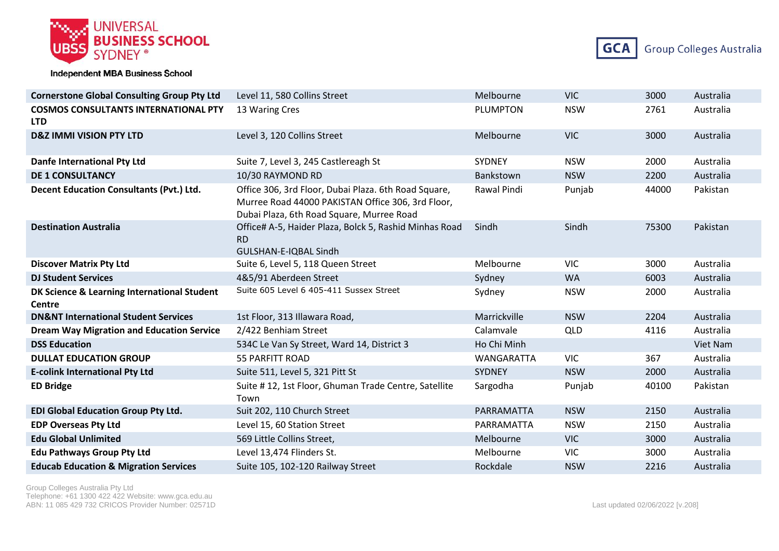



| <b>Cornerstone Global Consulting Group Pty Ltd</b>        | Level 11, 580 Collins Street                                                                                                                           | Melbourne       | <b>VIC</b> | 3000  | Australia |
|-----------------------------------------------------------|--------------------------------------------------------------------------------------------------------------------------------------------------------|-----------------|------------|-------|-----------|
| <b>COSMOS CONSULTANTS INTERNATIONAL PTY</b><br><b>LTD</b> | 13 Waring Cres                                                                                                                                         | <b>PLUMPTON</b> | <b>NSW</b> | 2761  | Australia |
| <b>D&amp;Z IMMI VISION PTY LTD</b>                        | Level 3, 120 Collins Street                                                                                                                            | Melbourne       | <b>VIC</b> | 3000  | Australia |
| <b>Danfe International Pty Ltd</b>                        | Suite 7, Level 3, 245 Castlereagh St                                                                                                                   | <b>SYDNEY</b>   | <b>NSW</b> | 2000  | Australia |
| <b>DE 1 CONSULTANCY</b>                                   | 10/30 RAYMOND RD                                                                                                                                       | Bankstown       | <b>NSW</b> | 2200  | Australia |
| <b>Decent Education Consultants (Pvt.) Ltd.</b>           | Office 306, 3rd Floor, Dubai Plaza. 6th Road Square,<br>Murree Road 44000 PAKISTAN Office 306, 3rd Floor,<br>Dubai Plaza, 6th Road Square, Murree Road | Rawal Pindi     | Punjab     | 44000 | Pakistan  |
| <b>Destination Australia</b>                              | Office# A-5, Haider Plaza, Bolck 5, Rashid Minhas Road<br><b>RD</b><br>GULSHAN-E-IQBAL Sindh                                                           | Sindh           | Sindh      | 75300 | Pakistan  |
| <b>Discover Matrix Pty Ltd</b>                            | Suite 6, Level 5, 118 Queen Street                                                                                                                     | Melbourne       | <b>VIC</b> | 3000  | Australia |
| <b>DJ Student Services</b>                                | 4&5/91 Aberdeen Street                                                                                                                                 | Sydney          | <b>WA</b>  | 6003  | Australia |
| DK Science & Learning International Student<br>Centre     | Suite 605 Level 6 405-411 Sussex Street                                                                                                                | Sydney          | <b>NSW</b> | 2000  | Australia |
| <b>DN&amp;NT International Student Services</b>           | 1st Floor, 313 Illawara Road,                                                                                                                          | Marrickville    | <b>NSW</b> | 2204  | Australia |
| <b>Dream Way Migration and Education Service</b>          | 2/422 Benhiam Street                                                                                                                                   | Calamvale       | QLD        | 4116  | Australia |
| <b>DSS Education</b>                                      | 534C Le Van Sy Street, Ward 14, District 3                                                                                                             | Ho Chi Minh     |            |       | Viet Nam  |
| <b>DULLAT EDUCATION GROUP</b>                             | <b>55 PARFITT ROAD</b>                                                                                                                                 | WANGARATTA      | <b>VIC</b> | 367   | Australia |
| <b>E-colink International Pty Ltd</b>                     | Suite 511, Level 5, 321 Pitt St                                                                                                                        | SYDNEY          | <b>NSW</b> | 2000  | Australia |
| <b>ED Bridge</b>                                          | Suite #12, 1st Floor, Ghuman Trade Centre, Satellite<br>Town                                                                                           | Sargodha        | Punjab     | 40100 | Pakistan  |
| <b>EDI Global Education Group Pty Ltd.</b>                | Suit 202, 110 Church Street                                                                                                                            | PARRAMATTA      | <b>NSW</b> | 2150  | Australia |
| <b>EDP Overseas Pty Ltd</b>                               | Level 15, 60 Station Street                                                                                                                            | PARRAMATTA      | <b>NSW</b> | 2150  | Australia |
| <b>Edu Global Unlimited</b>                               | 569 Little Collins Street,                                                                                                                             | Melbourne       | <b>VIC</b> | 3000  | Australia |
| <b>Edu Pathways Group Pty Ltd</b>                         | Level 13,474 Flinders St.                                                                                                                              | Melbourne       | <b>VIC</b> | 3000  | Australia |
| <b>Educab Education &amp; Migration Services</b>          | Suite 105, 102-120 Railway Street                                                                                                                      | Rockdale        | <b>NSW</b> | 2216  | Australia |

Group Colleges Australia Pty Ltd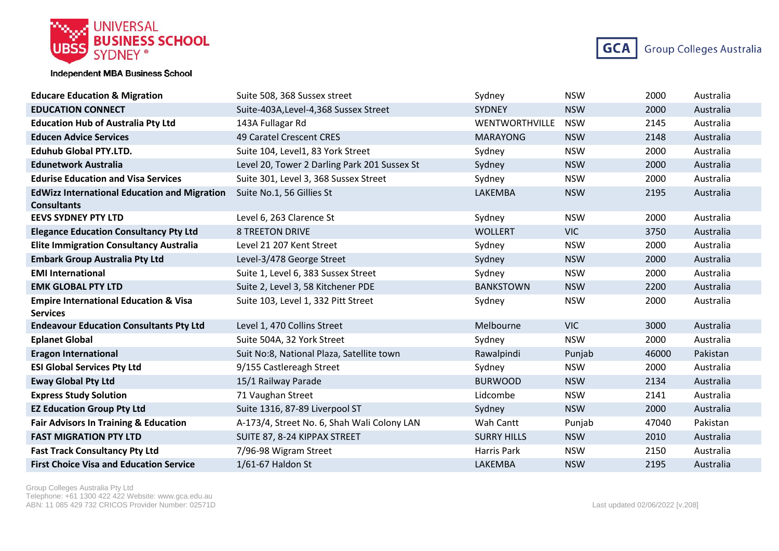



| <b>Educare Education &amp; Migration</b>                                  | Suite 508, 368 Sussex street                 | Sydney                | <b>NSW</b> | 2000  | Australia |
|---------------------------------------------------------------------------|----------------------------------------------|-----------------------|------------|-------|-----------|
| <b>EDUCATION CONNECT</b>                                                  | Suite-403A, Level-4, 368 Sussex Street       | <b>SYDNEY</b>         | <b>NSW</b> | 2000  | Australia |
| <b>Education Hub of Australia Pty Ltd</b>                                 | 143A Fullagar Rd                             | <b>WENTWORTHVILLE</b> | <b>NSW</b> | 2145  | Australia |
| <b>Educen Advice Services</b>                                             | 49 Caratel Crescent CRES                     | <b>MARAYONG</b>       | <b>NSW</b> | 2148  | Australia |
| <b>Eduhub Global PTY.LTD.</b>                                             | Suite 104, Level1, 83 York Street            | Sydney                | <b>NSW</b> | 2000  | Australia |
| <b>Edunetwork Australia</b>                                               | Level 20, Tower 2 Darling Park 201 Sussex St | Sydney                | <b>NSW</b> | 2000  | Australia |
| <b>Edurise Education and Visa Services</b>                                | Suite 301, Level 3, 368 Sussex Street        | Sydney                | <b>NSW</b> | 2000  | Australia |
| <b>EdWizz International Education and Migration</b><br><b>Consultants</b> | Suite No.1, 56 Gillies St                    | LAKEMBA               | <b>NSW</b> | 2195  | Australia |
| <b>EEVS SYDNEY PTY LTD</b>                                                | Level 6, 263 Clarence St                     | Sydney                | <b>NSW</b> | 2000  | Australia |
| <b>Elegance Education Consultancy Pty Ltd</b>                             | <b>8 TREETON DRIVE</b>                       | <b>WOLLERT</b>        | <b>VIC</b> | 3750  | Australia |
| <b>Elite Immigration Consultancy Australia</b>                            | Level 21 207 Kent Street                     | Sydney                | <b>NSW</b> | 2000  | Australia |
| <b>Embark Group Australia Pty Ltd</b>                                     | Level-3/478 George Street                    | Sydney                | <b>NSW</b> | 2000  | Australia |
| <b>EMI International</b>                                                  | Suite 1, Level 6, 383 Sussex Street          | Sydney                | <b>NSW</b> | 2000  | Australia |
| <b>EMK GLOBAL PTY LTD</b>                                                 | Suite 2, Level 3, 58 Kitchener PDE           | <b>BANKSTOWN</b>      | <b>NSW</b> | 2200  | Australia |
| <b>Empire International Education &amp; Visa</b><br><b>Services</b>       | Suite 103, Level 1, 332 Pitt Street          | Sydney                | <b>NSW</b> | 2000  | Australia |
| <b>Endeavour Education Consultants Pty Ltd</b>                            | Level 1, 470 Collins Street                  | Melbourne             | <b>VIC</b> | 3000  | Australia |
| <b>Eplanet Global</b>                                                     | Suite 504A, 32 York Street                   | Sydney                | <b>NSW</b> | 2000  | Australia |
| <b>Eragon International</b>                                               | Suit No:8, National Plaza, Satellite town    | Rawalpindi            | Punjab     | 46000 | Pakistan  |
| <b>ESI Global Services Pty Ltd</b>                                        | 9/155 Castlereagh Street                     | Sydney                | <b>NSW</b> | 2000  | Australia |
| <b>Eway Global Pty Ltd</b>                                                | 15/1 Railway Parade                          | <b>BURWOOD</b>        | <b>NSW</b> | 2134  | Australia |
| <b>Express Study Solution</b>                                             | 71 Vaughan Street                            | Lidcombe              | <b>NSW</b> | 2141  | Australia |
| <b>EZ Education Group Pty Ltd</b>                                         | Suite 1316, 87-89 Liverpool ST               | Sydney                | <b>NSW</b> | 2000  | Australia |
| <b>Fair Advisors In Training &amp; Education</b>                          | A-173/4, Street No. 6, Shah Wali Colony LAN  | Wah Cantt             | Punjab     | 47040 | Pakistan  |
| <b>FAST MIGRATION PTY LTD</b>                                             | SUITE 87, 8-24 KIPPAX STREET                 | <b>SURRY HILLS</b>    | <b>NSW</b> | 2010  | Australia |
| <b>Fast Track Consultancy Pty Ltd</b>                                     | 7/96-98 Wigram Street                        | Harris Park           | <b>NSW</b> | 2150  | Australia |
| <b>First Choice Visa and Education Service</b>                            | 1/61-67 Haldon St                            | LAKEMBA               | <b>NSW</b> | 2195  | Australia |

Group Colleges Australia Pty Ltd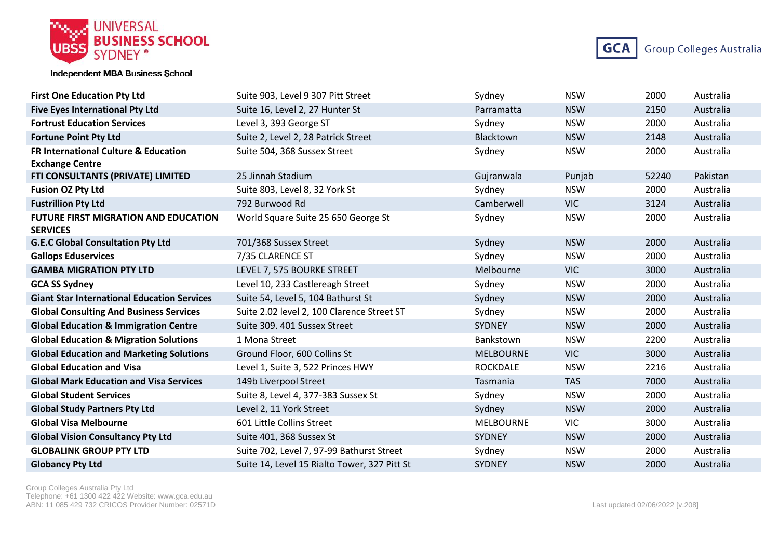



| <b>First One Education Pty Ltd</b>                             | Suite 903, Level 9 307 Pitt Street           | Sydney           | <b>NSW</b> | 2000  | Australia |
|----------------------------------------------------------------|----------------------------------------------|------------------|------------|-------|-----------|
| <b>Five Eyes International Pty Ltd</b>                         | Suite 16, Level 2, 27 Hunter St              | Parramatta       | <b>NSW</b> | 2150  | Australia |
| <b>Fortrust Education Services</b>                             | Level 3, 393 George ST                       | Sydney           | <b>NSW</b> | 2000  | Australia |
| <b>Fortune Point Pty Ltd</b>                                   | Suite 2, Level 2, 28 Patrick Street          | Blacktown        | <b>NSW</b> | 2148  | Australia |
| <b>FR International Culture &amp; Education</b>                | Suite 504, 368 Sussex Street                 | Sydney           | <b>NSW</b> | 2000  | Australia |
| <b>Exchange Centre</b>                                         |                                              |                  |            |       |           |
| FTI CONSULTANTS (PRIVATE) LIMITED                              | 25 Jinnah Stadium                            | Gujranwala       | Punjab     | 52240 | Pakistan  |
| <b>Fusion OZ Pty Ltd</b>                                       | Suite 803, Level 8, 32 York St               | Sydney           | <b>NSW</b> | 2000  | Australia |
| <b>Fustrillion Pty Ltd</b>                                     | 792 Burwood Rd                               | Camberwell       | <b>VIC</b> | 3124  | Australia |
| <b>FUTURE FIRST MIGRATION AND EDUCATION</b><br><b>SERVICES</b> | World Square Suite 25 650 George St          | Sydney           | <b>NSW</b> | 2000  | Australia |
| <b>G.E.C Global Consultation Pty Ltd</b>                       | 701/368 Sussex Street                        | Sydney           | <b>NSW</b> | 2000  | Australia |
| <b>Gallops Eduservices</b>                                     | 7/35 CLARENCE ST                             | Sydney           | <b>NSW</b> | 2000  | Australia |
| <b>GAMBA MIGRATION PTY LTD</b>                                 | LEVEL 7, 575 BOURKE STREET                   | Melbourne        | <b>VIC</b> | 3000  | Australia |
| <b>GCA SS Sydney</b>                                           | Level 10, 233 Castlereagh Street             | Sydney           | <b>NSW</b> | 2000  | Australia |
| <b>Giant Star International Education Services</b>             | Suite 54, Level 5, 104 Bathurst St           | Sydney           | <b>NSW</b> | 2000  | Australia |
| <b>Global Consulting And Business Services</b>                 | Suite 2.02 level 2, 100 Clarence Street ST   | Sydney           | <b>NSW</b> | 2000  | Australia |
| <b>Global Education &amp; Immigration Centre</b>               | Suite 309. 401 Sussex Street                 | <b>SYDNEY</b>    | <b>NSW</b> | 2000  | Australia |
| <b>Global Education &amp; Migration Solutions</b>              | 1 Mona Street                                | Bankstown        | <b>NSW</b> | 2200  | Australia |
| <b>Global Education and Marketing Solutions</b>                | Ground Floor, 600 Collins St                 | <b>MELBOURNE</b> | <b>VIC</b> | 3000  | Australia |
| <b>Global Education and Visa</b>                               | Level 1, Suite 3, 522 Princes HWY            | <b>ROCKDALE</b>  | <b>NSW</b> | 2216  | Australia |
| <b>Global Mark Education and Visa Services</b>                 | 149b Liverpool Street                        | Tasmania         | <b>TAS</b> | 7000  | Australia |
| <b>Global Student Services</b>                                 | Suite 8, Level 4, 377-383 Sussex St          | Sydney           | <b>NSW</b> | 2000  | Australia |
| <b>Global Study Partners Pty Ltd</b>                           | Level 2, 11 York Street                      | Sydney           | <b>NSW</b> | 2000  | Australia |
| <b>Global Visa Melbourne</b>                                   | 601 Little Collins Street                    | <b>MELBOURNE</b> | <b>VIC</b> | 3000  | Australia |
| <b>Global Vision Consultancy Pty Ltd</b>                       | Suite 401, 368 Sussex St                     | SYDNEY           | <b>NSW</b> | 2000  | Australia |
| <b>GLOBALINK GROUP PTY LTD</b>                                 | Suite 702, Level 7, 97-99 Bathurst Street    | Sydney           | <b>NSW</b> | 2000  | Australia |
| <b>Globancy Pty Ltd</b>                                        | Suite 14, Level 15 Rialto Tower, 327 Pitt St | <b>SYDNEY</b>    | <b>NSW</b> | 2000  | Australia |

Group Colleges Australia Pty Ltd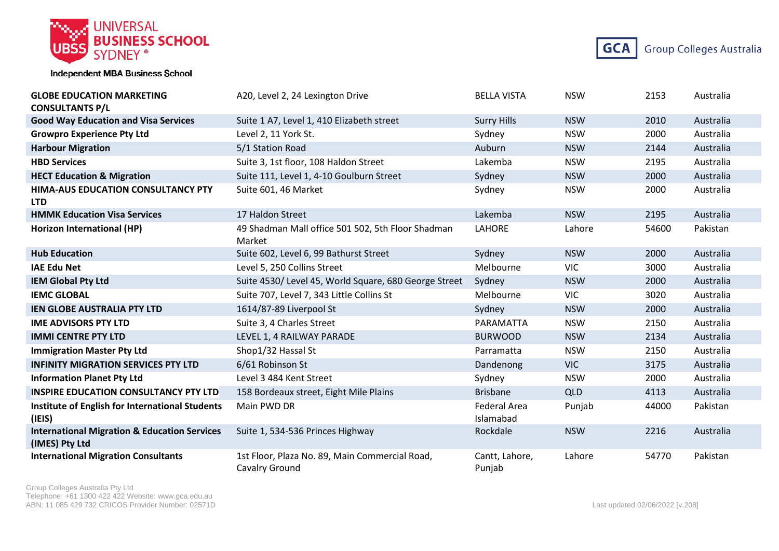



| <b>GLOBE EDUCATION MARKETING</b><br><b>CONSULTANTS P/L</b>                | A20, Level 2, 24 Lexington Drive                                 | <b>BELLA VISTA</b>               | <b>NSW</b> | 2153  | Australia |
|---------------------------------------------------------------------------|------------------------------------------------------------------|----------------------------------|------------|-------|-----------|
| <b>Good Way Education and Visa Services</b>                               | Suite 1 A7, Level 1, 410 Elizabeth street                        | <b>Surry Hills</b>               | <b>NSW</b> | 2010  | Australia |
| <b>Growpro Experience Pty Ltd</b>                                         | Level 2, 11 York St.                                             | Sydney                           | <b>NSW</b> | 2000  | Australia |
| <b>Harbour Migration</b>                                                  | 5/1 Station Road                                                 | Auburn                           | <b>NSW</b> | 2144  | Australia |
| <b>HBD Services</b>                                                       | Suite 3, 1st floor, 108 Haldon Street                            | Lakemba                          | <b>NSW</b> | 2195  | Australia |
| <b>HECT Education &amp; Migration</b>                                     | Suite 111, Level 1, 4-10 Goulburn Street                         | Sydney                           | <b>NSW</b> | 2000  | Australia |
| HIMA-AUS EDUCATION CONSULTANCY PTY<br><b>LTD</b>                          | Suite 601, 46 Market                                             | Sydney                           | <b>NSW</b> | 2000  | Australia |
| <b>HMMK Education Visa Services</b>                                       | 17 Haldon Street                                                 | Lakemba                          | <b>NSW</b> | 2195  | Australia |
| Horizon International (HP)                                                | 49 Shadman Mall office 501 502, 5th Floor Shadman<br>Market      | LAHORE                           | Lahore     | 54600 | Pakistan  |
| <b>Hub Education</b>                                                      | Suite 602, Level 6, 99 Bathurst Street                           | Sydney                           | <b>NSW</b> | 2000  | Australia |
| <b>IAE Edu Net</b>                                                        | Level 5, 250 Collins Street                                      | Melbourne                        | <b>VIC</b> | 3000  | Australia |
| <b>IEM Global Pty Ltd</b>                                                 | Suite 4530/ Level 45, World Square, 680 George Street            | Sydney                           | <b>NSW</b> | 2000  | Australia |
| <b>IEMC GLOBAL</b>                                                        | Suite 707, Level 7, 343 Little Collins St                        | Melbourne                        | <b>VIC</b> | 3020  | Australia |
| <b>IEN GLOBE AUSTRALIA PTY LTD</b>                                        | 1614/87-89 Liverpool St                                          | Sydney                           | <b>NSW</b> | 2000  | Australia |
| <b>IME ADVISORS PTY LTD</b>                                               | Suite 3, 4 Charles Street                                        | PARAMATTA                        | <b>NSW</b> | 2150  | Australia |
| <b>IMMI CENTRE PTY LTD</b>                                                | LEVEL 1, 4 RAILWAY PARADE                                        | <b>BURWOOD</b>                   | <b>NSW</b> | 2134  | Australia |
| <b>Immigration Master Pty Ltd</b>                                         | Shop1/32 Hassal St                                               | Parramatta                       | <b>NSW</b> | 2150  | Australia |
| <b>INFINITY MIGRATION SERVICES PTY LTD</b>                                | 6/61 Robinson St                                                 | Dandenong                        | <b>VIC</b> | 3175  | Australia |
| <b>Information Planet Pty Ltd</b>                                         | Level 3 484 Kent Street                                          | Sydney                           | <b>NSW</b> | 2000  | Australia |
| <b>INSPIRE EDUCATION CONSULTANCY PTY LTD</b>                              | 158 Bordeaux street, Eight Mile Plains                           | <b>Brisbane</b>                  | QLD        | 4113  | Australia |
| Institute of English for International Students<br>(IEIS)                 | Main PWD DR                                                      | <b>Federal Area</b><br>Islamabad | Punjab     | 44000 | Pakistan  |
| <b>International Migration &amp; Education Services</b><br>(IMES) Pty Ltd | Suite 1, 534-536 Princes Highway                                 | Rockdale                         | <b>NSW</b> | 2216  | Australia |
| <b>International Migration Consultants</b>                                | 1st Floor, Plaza No. 89, Main Commercial Road,<br>Cavalry Ground | Cantt, Lahore,<br>Punjab         | Lahore     | 54770 | Pakistan  |

Group Colleges Australia Pty Ltd Telephone: +61 1300 422 422 Website: www.gca.edu.au ABN: 11 085 429 732 CRICOS Provider Number: 02571D <br>
Last updated 02/06/2022 [v.208]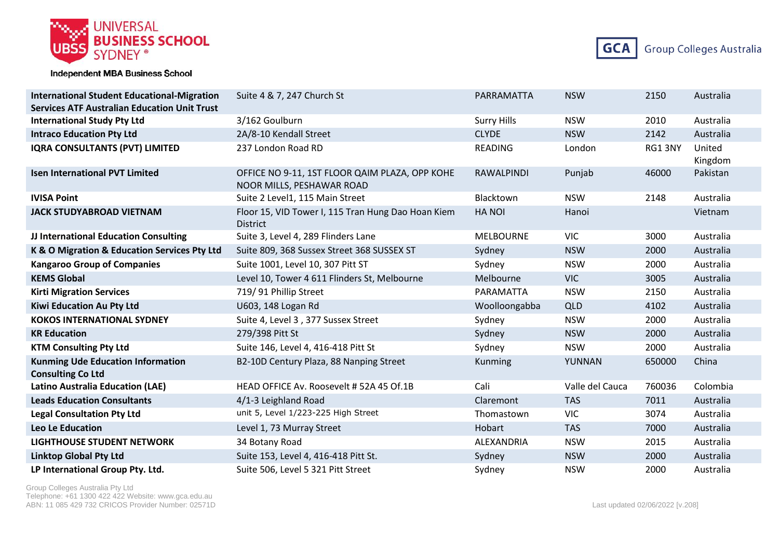



| <b>International Student Educational-Migration</b>                   | Suite 4 & 7, 247 Church St                                                  | PARRAMATTA         | <b>NSW</b>      | 2150   | Australia         |
|----------------------------------------------------------------------|-----------------------------------------------------------------------------|--------------------|-----------------|--------|-------------------|
| <b>Services ATF Australian Education Unit Trust</b>                  |                                                                             |                    |                 |        |                   |
| <b>International Study Pty Ltd</b>                                   | 3/162 Goulburn                                                              | <b>Surry Hills</b> | <b>NSW</b>      | 2010   | Australia         |
| <b>Intraco Education Pty Ltd</b>                                     | 2A/8-10 Kendall Street                                                      | <b>CLYDE</b>       | <b>NSW</b>      | 2142   | Australia         |
| <b>IQRA CONSULTANTS (PVT) LIMITED</b>                                | 237 London Road RD                                                          | <b>READING</b>     | London          | RG13NY | United<br>Kingdom |
| <b>Isen International PVT Limited</b>                                | OFFICE NO 9-11, 1ST FLOOR QAIM PLAZA, OPP KOHE<br>NOOR MILLS, PESHAWAR ROAD | <b>RAWALPINDI</b>  | Punjab          | 46000  | Pakistan          |
| <b>IVISA Point</b>                                                   | Suite 2 Level1, 115 Main Street                                             | Blacktown          | <b>NSW</b>      | 2148   | Australia         |
| <b>JACK STUDYABROAD VIETNAM</b>                                      | Floor 15, VID Tower I, 115 Tran Hung Dao Hoan Kiem<br><b>District</b>       | <b>HANOI</b>       | Hanoi           |        | Vietnam           |
| JJ International Education Consulting                                | Suite 3, Level 4, 289 Flinders Lane                                         | <b>MELBOURNE</b>   | <b>VIC</b>      | 3000   | Australia         |
| K & O Migration & Education Services Pty Ltd                         | Suite 809, 368 Sussex Street 368 SUSSEX ST                                  | Sydney             | <b>NSW</b>      | 2000   | Australia         |
| <b>Kangaroo Group of Companies</b>                                   | Suite 1001, Level 10, 307 Pitt ST                                           | Sydney             | <b>NSW</b>      | 2000   | Australia         |
| <b>KEMS Global</b>                                                   | Level 10, Tower 4 611 Flinders St, Melbourne                                | Melbourne          | <b>VIC</b>      | 3005   | Australia         |
| <b>Kirti Migration Services</b>                                      | 719/91 Phillip Street                                                       | PARAMATTA          | <b>NSW</b>      | 2150   | Australia         |
| Kiwi Education Au Pty Ltd                                            | U603, 148 Logan Rd                                                          | Woolloongabba      | QLD             | 4102   | Australia         |
| <b>KOKOS INTERNATIONAL SYDNEY</b>                                    | Suite 4, Level 3, 377 Sussex Street                                         | Sydney             | <b>NSW</b>      | 2000   | Australia         |
| <b>KR Education</b>                                                  | 279/398 Pitt St                                                             | Sydney             | <b>NSW</b>      | 2000   | Australia         |
| <b>KTM Consulting Pty Ltd</b>                                        | Suite 146, Level 4, 416-418 Pitt St                                         | Sydney             | <b>NSW</b>      | 2000   | Australia         |
| <b>Kunming Ude Education Information</b><br><b>Consulting Co Ltd</b> | B2-10D Century Plaza, 88 Nanping Street                                     | Kunming            | YUNNAN          | 650000 | China             |
| <b>Latino Australia Education (LAE)</b>                              | HEAD OFFICE Av. Roosevelt # 52A 45 Of.1B                                    | Cali               | Valle del Cauca | 760036 | Colombia          |
| <b>Leads Education Consultants</b>                                   | 4/1-3 Leighland Road                                                        | Claremont          | <b>TAS</b>      | 7011   | Australia         |
| <b>Legal Consultation Pty Ltd</b>                                    | unit 5, Level 1/223-225 High Street                                         | Thomastown         | <b>VIC</b>      | 3074   | Australia         |
| Leo Le Education                                                     | Level 1, 73 Murray Street                                                   | Hobart             | <b>TAS</b>      | 7000   | Australia         |
| <b>LIGHTHOUSE STUDENT NETWORK</b>                                    | 34 Botany Road                                                              | ALEXANDRIA         | <b>NSW</b>      | 2015   | Australia         |
| <b>Linktop Global Pty Ltd</b>                                        | Suite 153, Level 4, 416-418 Pitt St.                                        | Sydney             | <b>NSW</b>      | 2000   | Australia         |
| LP International Group Pty. Ltd.                                     | Suite 506, Level 5 321 Pitt Street                                          | Sydney             | <b>NSW</b>      | 2000   | Australia         |

Group Colleges Australia Pty Ltd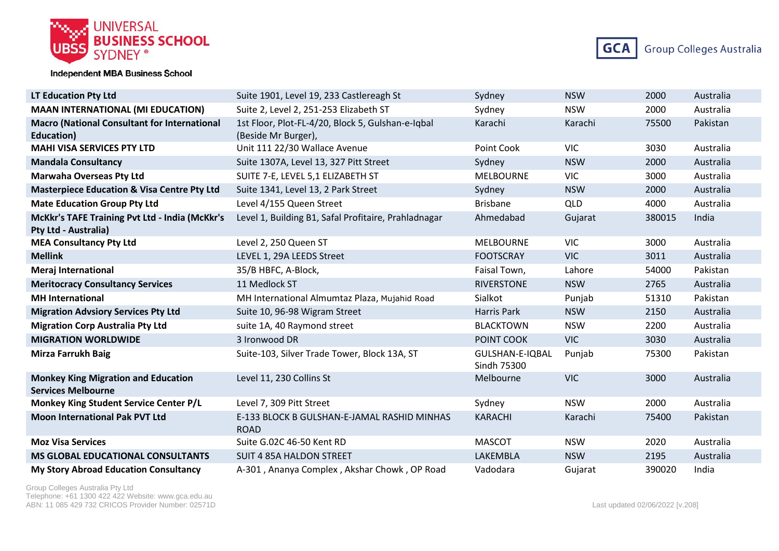



| <b>LT Education Pty Ltd</b>                                             | Suite 1901, Level 19, 233 Castlereagh St                   | Sydney                         | <b>NSW</b> | 2000   | Australia |
|-------------------------------------------------------------------------|------------------------------------------------------------|--------------------------------|------------|--------|-----------|
| <b>MAAN INTERNATIONAL (MI EDUCATION)</b>                                | Suite 2, Level 2, 251-253 Elizabeth ST                     | Sydney                         | <b>NSW</b> | 2000   | Australia |
| <b>Macro (National Consultant for International</b>                     | 1st Floor, Plot-FL-4/20, Block 5, Gulshan-e-Iqbal          | Karachi                        | Karachi    | 75500  | Pakistan  |
| <b>Education</b> )                                                      | (Beside Mr Burger),                                        |                                |            |        |           |
| <b>MAHI VISA SERVICES PTY LTD</b>                                       | Unit 111 22/30 Wallace Avenue                              | Point Cook                     | <b>VIC</b> | 3030   | Australia |
| <b>Mandala Consultancy</b>                                              | Suite 1307A, Level 13, 327 Pitt Street                     | Sydney                         | <b>NSW</b> | 2000   | Australia |
| <b>Marwaha Overseas Pty Ltd</b>                                         | SUITE 7-E, LEVEL 5,1 ELIZABETH ST                          | <b>MELBOURNE</b>               | <b>VIC</b> | 3000   | Australia |
| <b>Masterpiece Education &amp; Visa Centre Pty Ltd</b>                  | Suite 1341, Level 13, 2 Park Street                        | Sydney                         | <b>NSW</b> | 2000   | Australia |
| <b>Mate Education Group Pty Ltd</b>                                     | Level 4/155 Queen Street                                   | <b>Brisbane</b>                | QLD        | 4000   | Australia |
| McKkr's TAFE Training Pvt Ltd - India (McKkr's                          | Level 1, Building B1, Safal Profitaire, Prahladnagar       | Ahmedabad                      | Gujarat    | 380015 | India     |
| <b>Pty Ltd - Australia)</b>                                             |                                                            |                                |            |        |           |
| <b>MEA Consultancy Pty Ltd</b>                                          | Level 2, 250 Queen ST                                      | <b>MELBOURNE</b>               | <b>VIC</b> | 3000   | Australia |
| <b>Mellink</b>                                                          | LEVEL 1, 29A LEEDS Street                                  | <b>FOOTSCRAY</b>               | <b>VIC</b> | 3011   | Australia |
| <b>Meraj International</b>                                              | 35/B HBFC, A-Block,                                        | Faisal Town,                   | Lahore     | 54000  | Pakistan  |
| <b>Meritocracy Consultancy Services</b>                                 | 11 Medlock ST                                              | <b>RIVERSTONE</b>              | <b>NSW</b> | 2765   | Australia |
| <b>MH</b> International                                                 | MH International Almumtaz Plaza, Mujahid Road              | Sialkot                        | Punjab     | 51310  | Pakistan  |
| <b>Migration Advsiory Services Pty Ltd</b>                              | Suite 10, 96-98 Wigram Street                              | Harris Park                    | <b>NSW</b> | 2150   | Australia |
| <b>Migration Corp Australia Pty Ltd</b>                                 | suite 1A, 40 Raymond street                                | <b>BLACKTOWN</b>               | <b>NSW</b> | 2200   | Australia |
| <b>MIGRATION WORLDWIDE</b>                                              | 3 Ironwood DR                                              | POINT COOK                     | <b>VIC</b> | 3030   | Australia |
| <b>Mirza Farrukh Baig</b>                                               | Suite-103, Silver Trade Tower, Block 13A, ST               | GULSHAN-E-IQBAL<br>Sindh 75300 | Punjab     | 75300  | Pakistan  |
| <b>Monkey King Migration and Education</b><br><b>Services Melbourne</b> | Level 11, 230 Collins St                                   | Melbourne                      | <b>VIC</b> | 3000   | Australia |
| Monkey King Student Service Center P/L                                  | Level 7, 309 Pitt Street                                   | Sydney                         | <b>NSW</b> | 2000   | Australia |
| <b>Moon International Pak PVT Ltd</b>                                   | E-133 BLOCK B GULSHAN-E-JAMAL RASHID MINHAS<br><b>ROAD</b> | <b>KARACHI</b>                 | Karachi    | 75400  | Pakistan  |
| <b>Moz Visa Services</b>                                                | Suite G.02C 46-50 Kent RD                                  | <b>MASCOT</b>                  | <b>NSW</b> | 2020   | Australia |
| <b>MS GLOBAL EDUCATIONAL CONSULTANTS</b>                                | <b>SUIT 4 85A HALDON STREET</b>                            | LAKEMBLA                       | <b>NSW</b> | 2195   | Australia |
| <b>My Story Abroad Education Consultancy</b>                            | A-301, Ananya Complex, Akshar Chowk, OP Road               | Vadodara                       | Gujarat    | 390020 | India     |

Group Colleges Australia Pty Ltd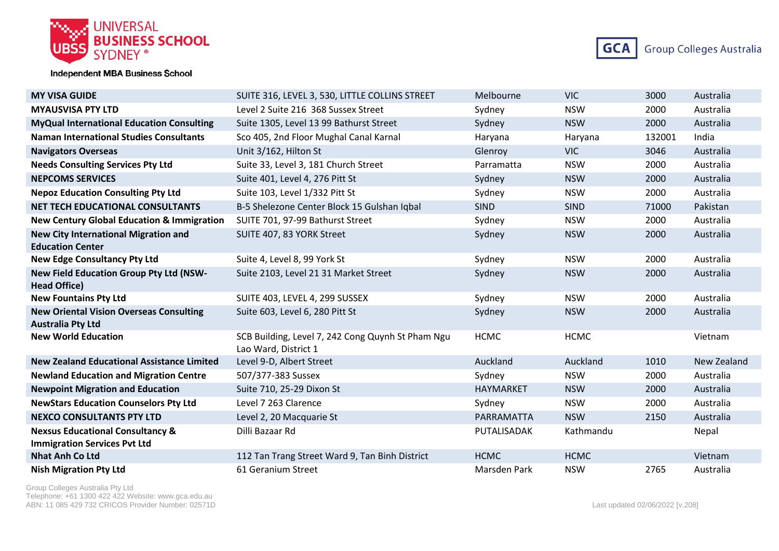



| <b>MY VISA GUIDE</b>                                                       | SUITE 316, LEVEL 3, 530, LITTLE COLLINS STREET                            | Melbourne        | <b>VIC</b>  | 3000   | Australia   |
|----------------------------------------------------------------------------|---------------------------------------------------------------------------|------------------|-------------|--------|-------------|
| <b>MYAUSVISA PTY LTD</b>                                                   | Level 2 Suite 216, 368 Sussex Street                                      | Sydney           | <b>NSW</b>  | 2000   | Australia   |
| <b>MyQual International Education Consulting</b>                           | Suite 1305, Level 13 99 Bathurst Street                                   | Sydney           | <b>NSW</b>  | 2000   | Australia   |
| <b>Naman International Studies Consultants</b>                             | Sco 405, 2nd Floor Mughal Canal Karnal                                    | Haryana          | Haryana     | 132001 | India       |
| <b>Navigators Overseas</b>                                                 | Unit 3/162, Hilton St                                                     | Glenroy          | <b>VIC</b>  | 3046   | Australia   |
| <b>Needs Consulting Services Pty Ltd</b>                                   | Suite 33, Level 3, 181 Church Street                                      | Parramatta       | <b>NSW</b>  | 2000   | Australia   |
| <b>NEPCOMS SERVICES</b>                                                    | Suite 401, Level 4, 276 Pitt St                                           | Sydney           | <b>NSW</b>  | 2000   | Australia   |
| <b>Nepoz Education Consulting Pty Ltd</b>                                  | Suite 103, Level 1/332 Pitt St                                            | Sydney           | <b>NSW</b>  | 2000   | Australia   |
| <b>NET TECH EDUCATIONAL CONSULTANTS</b>                                    | B-5 Shelezone Center Block 15 Gulshan Iqbal                               | <b>SIND</b>      | <b>SIND</b> | 71000  | Pakistan    |
| <b>New Century Global Education &amp; Immigration</b>                      | SUITE 701, 97-99 Bathurst Street                                          | Sydney           | <b>NSW</b>  | 2000   | Australia   |
| <b>New City International Migration and</b>                                | SUITE 407, 83 YORK Street                                                 | Sydney           | <b>NSW</b>  | 2000   | Australia   |
| <b>Education Center</b>                                                    |                                                                           |                  |             |        |             |
| <b>New Edge Consultancy Pty Ltd</b>                                        | Suite 4, Level 8, 99 York St                                              | Sydney           | <b>NSW</b>  | 2000   | Australia   |
| New Field Education Group Pty Ltd (NSW-                                    | Suite 2103, Level 21 31 Market Street                                     | Sydney           | <b>NSW</b>  | 2000   | Australia   |
| <b>Head Office)</b>                                                        |                                                                           |                  |             |        |             |
| <b>New Fountains Pty Ltd</b>                                               | SUITE 403, LEVEL 4, 299 SUSSEX                                            | Sydney           | <b>NSW</b>  | 2000   | Australia   |
| <b>New Oriental Vision Overseas Consulting</b><br><b>Australia Pty Ltd</b> | Suite 603, Level 6, 280 Pitt St                                           | Sydney           | <b>NSW</b>  | 2000   | Australia   |
| <b>New World Education</b>                                                 | SCB Building, Level 7, 242 Cong Quynh St Pham Ngu<br>Lao Ward, District 1 | <b>HCMC</b>      | <b>HCMC</b> |        | Vietnam     |
| <b>New Zealand Educational Assistance Limited</b>                          | Level 9-D, Albert Street                                                  | Auckland         | Auckland    | 1010   | New Zealand |
| <b>Newland Education and Migration Centre</b>                              | 507/377-383 Sussex                                                        | Sydney           | <b>NSW</b>  | 2000   | Australia   |
| <b>Newpoint Migration and Education</b>                                    | Suite 710, 25-29 Dixon St                                                 | <b>HAYMARKET</b> | <b>NSW</b>  | 2000   | Australia   |
| <b>NewStars Education Counselors Pty Ltd</b>                               | Level 7 263 Clarence                                                      | Sydney           | <b>NSW</b>  | 2000   | Australia   |
| <b>NEXCO CONSULTANTS PTY LTD</b>                                           | Level 2, 20 Macquarie St                                                  | PARRAMATTA       | <b>NSW</b>  | 2150   | Australia   |
| <b>Nexsus Educational Consultancy &amp;</b>                                | Dilli Bazaar Rd                                                           | PUTALISADAK      | Kathmandu   |        | Nepal       |
| <b>Immigration Services Pvt Ltd</b><br><b>Nhat Anh Co Ltd</b>              | 112 Tan Trang Street Ward 9, Tan Binh District                            | <b>HCMC</b>      | <b>HCMC</b> |        | Vietnam     |
|                                                                            |                                                                           |                  |             |        |             |
| <b>Nish Migration Pty Ltd</b>                                              | 61 Geranium Street                                                        | Marsden Park     | <b>NSW</b>  | 2765   | Australia   |

Group Colleges Australia Pty Ltd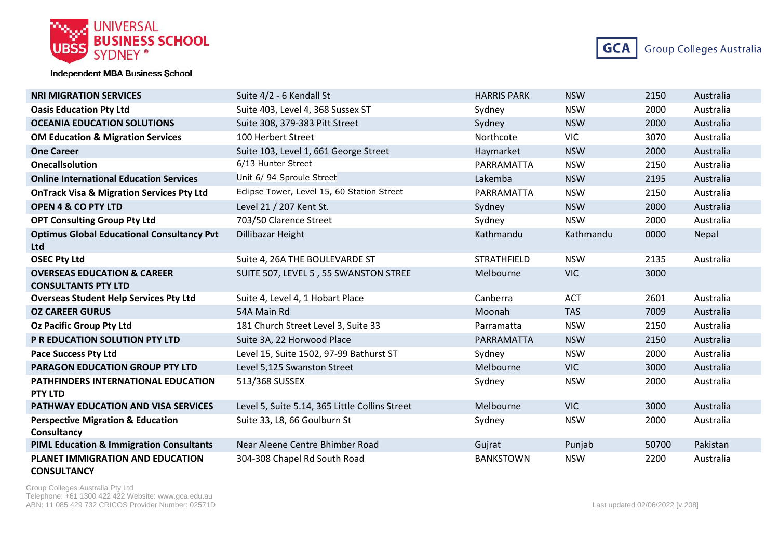



| <b>NRI MIGRATION SERVICES</b>                                        | Suite 4/2 - 6 Kendall St                       | <b>HARRIS PARK</b> | <b>NSW</b> | 2150  | Australia |
|----------------------------------------------------------------------|------------------------------------------------|--------------------|------------|-------|-----------|
| <b>Oasis Education Pty Ltd</b>                                       | Suite 403, Level 4, 368 Sussex ST              | Sydney             | <b>NSW</b> | 2000  | Australia |
| <b>OCEANIA EDUCATION SOLUTIONS</b>                                   | Suite 308, 379-383 Pitt Street                 | Sydney             | <b>NSW</b> | 2000  | Australia |
| <b>OM Education &amp; Migration Services</b>                         | 100 Herbert Street                             | Northcote          | <b>VIC</b> | 3070  | Australia |
| <b>One Career</b>                                                    | Suite 103, Level 1, 661 George Street          | Haymarket          | <b>NSW</b> | 2000  | Australia |
| <b>Onecallsolution</b>                                               | 6/13 Hunter Street                             | PARRAMATTA         | <b>NSW</b> | 2150  | Australia |
| <b>Online International Education Services</b>                       | Unit 6/ 94 Sproule Street                      | Lakemba            | <b>NSW</b> | 2195  | Australia |
| <b>OnTrack Visa &amp; Migration Services Pty Ltd</b>                 | Eclipse Tower, Level 15, 60 Station Street     | PARRAMATTA         | <b>NSW</b> | 2150  | Australia |
| <b>OPEN 4 &amp; CO PTY LTD</b>                                       | Level 21 / 207 Kent St.                        | Sydney             | <b>NSW</b> | 2000  | Australia |
| <b>OPT Consulting Group Pty Ltd</b>                                  | 703/50 Clarence Street                         | Sydney             | <b>NSW</b> | 2000  | Australia |
| <b>Optimus Global Educational Consultancy Pvt</b><br>Ltd             | Dillibazar Height                              | Kathmandu          | Kathmandu  | 0000  | Nepal     |
| <b>OSEC Pty Ltd</b>                                                  | Suite 4, 26A THE BOULEVARDE ST                 | <b>STRATHFIELD</b> | <b>NSW</b> | 2135  | Australia |
| <b>OVERSEAS EDUCATION &amp; CAREER</b><br><b>CONSULTANTS PTY LTD</b> | SUITE 507, LEVEL 5, 55 SWANSTON STREE          | Melbourne          | <b>VIC</b> | 3000  |           |
| <b>Overseas Student Help Services Pty Ltd</b>                        | Suite 4, Level 4, 1 Hobart Place               | Canberra           | <b>ACT</b> | 2601  | Australia |
| <b>OZ CAREER GURUS</b>                                               | 54A Main Rd                                    | Moonah             | <b>TAS</b> | 7009  | Australia |
| <b>Oz Pacific Group Pty Ltd</b>                                      | 181 Church Street Level 3, Suite 33            | Parramatta         | <b>NSW</b> | 2150  | Australia |
| P R EDUCATION SOLUTION PTY LTD                                       | Suite 3A, 22 Horwood Place                     | PARRAMATTA         | <b>NSW</b> | 2150  | Australia |
| <b>Pace Success Pty Ltd</b>                                          | Level 15, Suite 1502, 97-99 Bathurst ST        | Sydney             | <b>NSW</b> | 2000  | Australia |
| <b>PARAGON EDUCATION GROUP PTY LTD</b>                               | Level 5,125 Swanston Street                    | Melbourne          | VIC        | 3000  | Australia |
| <b>PATHFINDERS INTERNATIONAL EDUCATION</b><br><b>PTY LTD</b>         | 513/368 SUSSEX                                 | Sydney             | <b>NSW</b> | 2000  | Australia |
| PATHWAY EDUCATION AND VISA SERVICES                                  | Level 5, Suite 5.14, 365 Little Collins Street | Melbourne          | <b>VIC</b> | 3000  | Australia |
| <b>Perspective Migration &amp; Education</b><br>Consultancy          | Suite 33, L8, 66 Goulburn St                   | Sydney             | <b>NSW</b> | 2000  | Australia |
| <b>PIML Education &amp; Immigration Consultants</b>                  | Near Aleene Centre Bhimber Road                | Gujrat             | Punjab     | 50700 | Pakistan  |
| <b>PLANET IMMIGRATION AND EDUCATION</b><br><b>CONSULTANCY</b>        | 304-308 Chapel Rd South Road                   | <b>BANKSTOWN</b>   | <b>NSW</b> | 2200  | Australia |

Group Colleges Australia Pty Ltd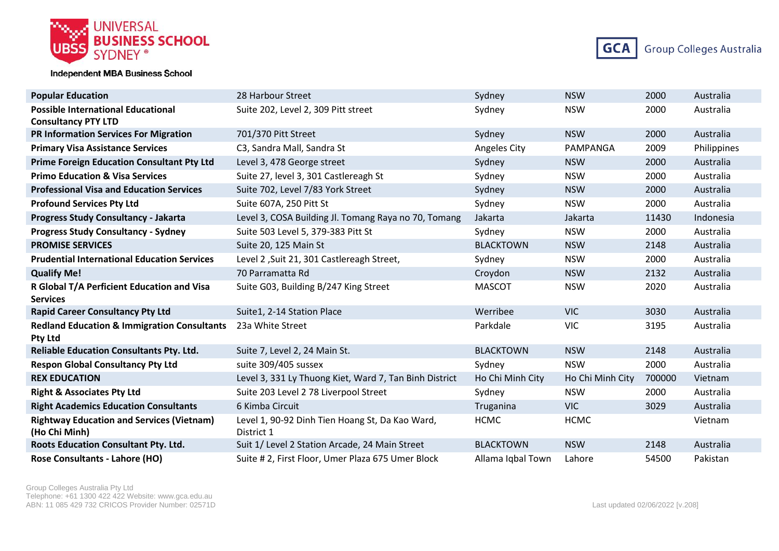



| <b>Popular Education</b>                                     | 28 Harbour Street                                      | Sydney            | <b>NSW</b>       | 2000   | Australia   |
|--------------------------------------------------------------|--------------------------------------------------------|-------------------|------------------|--------|-------------|
| <b>Possible International Educational</b>                    | Suite 202, Level 2, 309 Pitt street                    | Sydney            | <b>NSW</b>       | 2000   | Australia   |
| <b>Consultancy PTY LTD</b>                                   |                                                        |                   |                  |        |             |
| <b>PR Information Services For Migration</b>                 | 701/370 Pitt Street                                    | Sydney            | <b>NSW</b>       | 2000   | Australia   |
| <b>Primary Visa Assistance Services</b>                      | C3, Sandra Mall, Sandra St                             | Angeles City      | PAMPANGA         | 2009   | Philippines |
| <b>Prime Foreign Education Consultant Pty Ltd</b>            | Level 3, 478 George street                             | Sydney            | <b>NSW</b>       | 2000   | Australia   |
| <b>Primo Education &amp; Visa Services</b>                   | Suite 27, level 3, 301 Castlereagh St                  | Sydney            | <b>NSW</b>       | 2000   | Australia   |
| <b>Professional Visa and Education Services</b>              | Suite 702, Level 7/83 York Street                      | Sydney            | <b>NSW</b>       | 2000   | Australia   |
| <b>Profound Services Pty Ltd</b>                             | Suite 607A, 250 Pitt St                                | Sydney            | <b>NSW</b>       | 2000   | Australia   |
| <b>Progress Study Consultancy - Jakarta</b>                  | Level 3, COSA Building Jl. Tomang Raya no 70, Tomang   | Jakarta           | Jakarta          | 11430  | Indonesia   |
| <b>Progress Study Consultancy - Sydney</b>                   | Suite 503 Level 5, 379-383 Pitt St                     | Sydney            | <b>NSW</b>       | 2000   | Australia   |
| <b>PROMISE SERVICES</b>                                      | Suite 20, 125 Main St                                  | <b>BLACKTOWN</b>  | <b>NSW</b>       | 2148   | Australia   |
| <b>Prudential International Education Services</b>           | Level 2, Suit 21, 301 Castlereagh Street,              | Sydney            | <b>NSW</b>       | 2000   | Australia   |
| <b>Qualify Me!</b>                                           | 70 Parramatta Rd                                       | Croydon           | <b>NSW</b>       | 2132   | Australia   |
| R Global T/A Perficient Education and Visa                   | Suite G03, Building B/247 King Street                  | <b>MASCOT</b>     | <b>NSW</b>       | 2020   | Australia   |
| <b>Services</b>                                              |                                                        |                   |                  |        |             |
| <b>Rapid Career Consultancy Pty Ltd</b>                      | Suite1, 2-14 Station Place                             | Werribee          | <b>VIC</b>       | 3030   | Australia   |
| Redland Education & Immigration Consultants 23a White Street |                                                        | Parkdale          | <b>VIC</b>       | 3195   | Australia   |
| Pty Ltd                                                      |                                                        |                   |                  |        |             |
| <b>Reliable Education Consultants Pty. Ltd.</b>              | Suite 7, Level 2, 24 Main St.                          | <b>BLACKTOWN</b>  | <b>NSW</b>       | 2148   | Australia   |
| <b>Respon Global Consultancy Pty Ltd</b>                     | suite 309/405 sussex                                   | Sydney            | <b>NSW</b>       | 2000   | Australia   |
| <b>REX EDUCATION</b>                                         | Level 3, 331 Ly Thuong Kiet, Ward 7, Tan Binh District | Ho Chi Minh City  | Ho Chi Minh City | 700000 | Vietnam     |
| <b>Right &amp; Associates Pty Ltd</b>                        | Suite 203 Level 2 78 Liverpool Street                  | Sydney            | <b>NSW</b>       | 2000   | Australia   |
| <b>Right Academics Education Consultants</b>                 | 6 Kimba Circuit                                        | Truganina         | <b>VIC</b>       | 3029   | Australia   |
| <b>Rightway Education and Services (Vietnam)</b>             | Level 1, 90-92 Dinh Tien Hoang St, Da Kao Ward,        | <b>HCMC</b>       | <b>HCMC</b>      |        | Vietnam     |
| (Ho Chi Minh)                                                | District 1                                             |                   |                  |        |             |
| Roots Education Consultant Pty. Ltd.                         | Suit 1/ Level 2 Station Arcade, 24 Main Street         | <b>BLACKTOWN</b>  | <b>NSW</b>       | 2148   | Australia   |
| Rose Consultants - Lahore (HO)                               | Suite # 2, First Floor, Umer Plaza 675 Umer Block      | Allama Iqbal Town | Lahore           | 54500  | Pakistan    |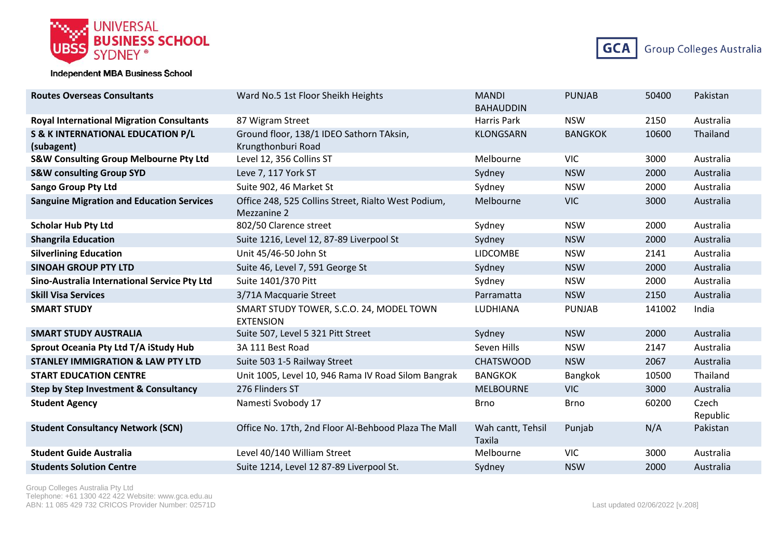



| <b>Routes Overseas Consultants</b>                | Ward No.5 1st Floor Sheikh Heights                                 | <b>MANDI</b><br><b>BAHAUDDIN</b> | <b>PUNJAB</b>  | 50400  | Pakistan          |
|---------------------------------------------------|--------------------------------------------------------------------|----------------------------------|----------------|--------|-------------------|
| <b>Royal International Migration Consultants</b>  | 87 Wigram Street                                                   | Harris Park                      | <b>NSW</b>     | 2150   | Australia         |
| <b>S &amp; K INTERNATIONAL EDUCATION P/L</b>      | Ground floor, 138/1 IDEO Sathorn TAksin,                           | <b>KLONGSARN</b>                 | <b>BANGKOK</b> | 10600  | Thailand          |
| (subagent)                                        | Krungthonburi Road                                                 |                                  |                |        |                   |
| <b>S&amp;W Consulting Group Melbourne Pty Ltd</b> | Level 12, 356 Collins ST                                           | Melbourne                        | <b>VIC</b>     | 3000   | Australia         |
| <b>S&amp;W consulting Group SYD</b>               | Leve 7, 117 York ST                                                | Sydney                           | <b>NSW</b>     | 2000   | Australia         |
| <b>Sango Group Pty Ltd</b>                        | Suite 902, 46 Market St                                            | Sydney                           | <b>NSW</b>     | 2000   | Australia         |
| <b>Sanguine Migration and Education Services</b>  | Office 248, 525 Collins Street, Rialto West Podium,<br>Mezzanine 2 | Melbourne                        | <b>VIC</b>     | 3000   | Australia         |
| <b>Scholar Hub Pty Ltd</b>                        | 802/50 Clarence street                                             | Sydney                           | <b>NSW</b>     | 2000   | Australia         |
| <b>Shangrila Education</b>                        | Suite 1216, Level 12, 87-89 Liverpool St                           | Sydney                           | <b>NSW</b>     | 2000   | Australia         |
| <b>Silverlining Education</b>                     | Unit 45/46-50 John St                                              | <b>LIDCOMBE</b>                  | <b>NSW</b>     | 2141   | Australia         |
| <b>SINOAH GROUP PTY LTD</b>                       | Suite 46, Level 7, 591 George St                                   | Sydney                           | <b>NSW</b>     | 2000   | Australia         |
| Sino-Australia International Service Pty Ltd      | Suite 1401/370 Pitt                                                | Sydney                           | <b>NSW</b>     | 2000   | Australia         |
| <b>Skill Visa Services</b>                        | 3/71A Macquarie Street                                             | Parramatta                       | <b>NSW</b>     | 2150   | Australia         |
| <b>SMART STUDY</b>                                | SMART STUDY TOWER, S.C.O. 24, MODEL TOWN<br><b>EXTENSION</b>       | LUDHIANA                         | <b>PUNJAB</b>  | 141002 | India             |
| <b>SMART STUDY AUSTRALIA</b>                      | Suite 507, Level 5 321 Pitt Street                                 | Sydney                           | <b>NSW</b>     | 2000   | Australia         |
| Sprout Oceania Pty Ltd T/A iStudy Hub             | 3A 111 Best Road                                                   | Seven Hills                      | <b>NSW</b>     | 2147   | Australia         |
| <b>STANLEY IMMIGRATION &amp; LAW PTY LTD</b>      | Suite 503 1-5 Railway Street                                       | <b>CHATSWOOD</b>                 | <b>NSW</b>     | 2067   | Australia         |
| <b>START EDUCATION CENTRE</b>                     | Unit 1005, Level 10, 946 Rama IV Road Silom Bangrak                | <b>BANGKOK</b>                   | Bangkok        | 10500  | Thailand          |
| Step by Step Investment & Consultancy             | 276 Flinders ST                                                    | <b>MELBOURNE</b>                 | <b>VIC</b>     | 3000   | Australia         |
| <b>Student Agency</b>                             | Namesti Svobody 17                                                 | <b>Brno</b>                      | <b>Brno</b>    | 60200  | Czech<br>Republic |
| <b>Student Consultancy Network (SCN)</b>          | Office No. 17th, 2nd Floor Al-Behbood Plaza The Mall               | Wah cantt, Tehsil<br>Taxila      | Punjab         | N/A    | Pakistan          |
| <b>Student Guide Australia</b>                    | Level 40/140 William Street                                        | Melbourne                        | <b>VIC</b>     | 3000   | Australia         |
| <b>Students Solution Centre</b>                   | Suite 1214, Level 12 87-89 Liverpool St.                           | Sydney                           | <b>NSW</b>     | 2000   | Australia         |

Group Colleges Australia Pty Ltd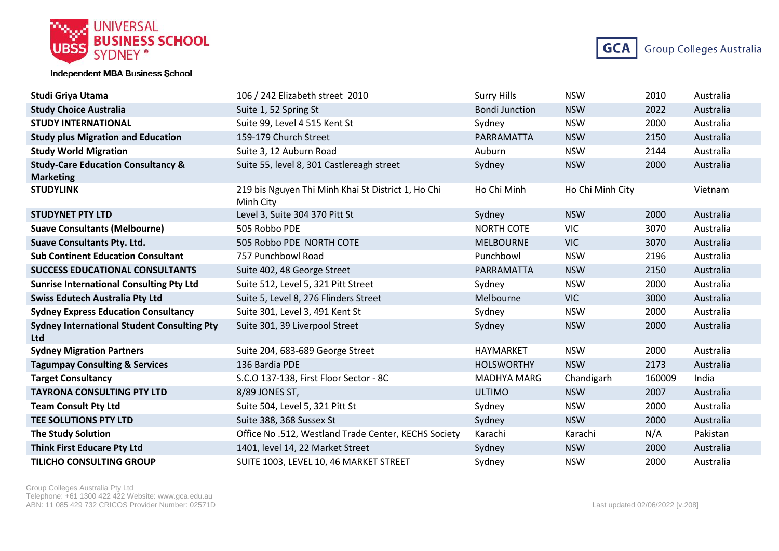



| <b>Studi Griya Utama</b>                                         | 106 / 242 Elizabeth street 2010                                 | <b>Surry Hills</b>    | <b>NSW</b>       | 2010   | Australia |
|------------------------------------------------------------------|-----------------------------------------------------------------|-----------------------|------------------|--------|-----------|
| <b>Study Choice Australia</b>                                    | Suite 1, 52 Spring St                                           | <b>Bondi Junction</b> | <b>NSW</b>       | 2022   | Australia |
| <b>STUDY INTERNATIONAL</b>                                       | Suite 99, Level 4 515 Kent St                                   | Sydney                | <b>NSW</b>       | 2000   | Australia |
| <b>Study plus Migration and Education</b>                        | 159-179 Church Street                                           | PARRAMATTA            | <b>NSW</b>       | 2150   | Australia |
| <b>Study World Migration</b>                                     | Suite 3, 12 Auburn Road                                         | Auburn                | <b>NSW</b>       | 2144   | Australia |
| <b>Study-Care Education Consultancy &amp;</b>                    | Suite 55, level 8, 301 Castlereagh street                       | Sydney                | <b>NSW</b>       | 2000   | Australia |
| <b>Marketing</b><br><b>STUDYLINK</b>                             | 219 bis Nguyen Thi Minh Khai St District 1, Ho Chi<br>Minh City | Ho Chi Minh           | Ho Chi Minh City |        | Vietnam   |
| <b>STUDYNET PTY LTD</b>                                          | Level 3, Suite 304 370 Pitt St                                  | Sydney                | <b>NSW</b>       | 2000   | Australia |
| <b>Suave Consultants (Melbourne)</b>                             | 505 Robbo PDE                                                   | <b>NORTH COTE</b>     | <b>VIC</b>       | 3070   | Australia |
| <b>Suave Consultants Pty. Ltd.</b>                               | 505 Robbo PDE NORTH COTE                                        | <b>MELBOURNE</b>      | <b>VIC</b>       | 3070   | Australia |
| <b>Sub Continent Education Consultant</b>                        | 757 Punchbowl Road                                              | Punchbowl             | <b>NSW</b>       | 2196   | Australia |
| <b>SUCCESS EDUCATIONAL CONSULTANTS</b>                           | Suite 402, 48 George Street                                     | PARRAMATTA            | <b>NSW</b>       | 2150   | Australia |
| <b>Sunrise International Consulting Pty Ltd</b>                  | Suite 512, Level 5, 321 Pitt Street                             | Sydney                | <b>NSW</b>       | 2000   | Australia |
| <b>Swiss Edutech Australia Pty Ltd</b>                           | Suite 5, Level 8, 276 Flinders Street                           | Melbourne             | <b>VIC</b>       | 3000   | Australia |
| <b>Sydney Express Education Consultancy</b>                      | Suite 301, Level 3, 491 Kent St                                 | Sydney                | <b>NSW</b>       | 2000   | Australia |
| <b>Sydney International Student Consulting Pty</b><br><b>Ltd</b> | Suite 301, 39 Liverpool Street                                  | Sydney                | <b>NSW</b>       | 2000   | Australia |
| <b>Sydney Migration Partners</b>                                 | Suite 204, 683-689 George Street                                | HAYMARKET             | <b>NSW</b>       | 2000   | Australia |
| <b>Tagumpay Consulting &amp; Services</b>                        | 136 Bardia PDE                                                  | <b>HOLSWORTHY</b>     | <b>NSW</b>       | 2173   | Australia |
| <b>Target Consultancy</b>                                        | S.C.O 137-138, First Floor Sector - 8C                          | <b>MADHYA MARG</b>    | Chandigarh       | 160009 | India     |
| <b>TAYRONA CONSULTING PTY LTD</b>                                | 8/89 JONES ST,                                                  | <b>ULTIMO</b>         | <b>NSW</b>       | 2007   | Australia |
| <b>Team Consult Pty Ltd</b>                                      | Suite 504, Level 5, 321 Pitt St                                 | Sydney                | <b>NSW</b>       | 2000   | Australia |
| TEE SOLUTIONS PTY LTD                                            | Suite 388, 368 Sussex St                                        | Sydney                | <b>NSW</b>       | 2000   | Australia |
| <b>The Study Solution</b>                                        | Office No.512, Westland Trade Center, KECHS Society             | Karachi               | Karachi          | N/A    | Pakistan  |
| <b>Think First Educare Pty Ltd</b>                               | 1401, level 14, 22 Market Street                                | Sydney                | <b>NSW</b>       | 2000   | Australia |
| <b>TILICHO CONSULTING GROUP</b>                                  | SUITE 1003, LEVEL 10, 46 MARKET STREET                          | Sydney                | <b>NSW</b>       | 2000   | Australia |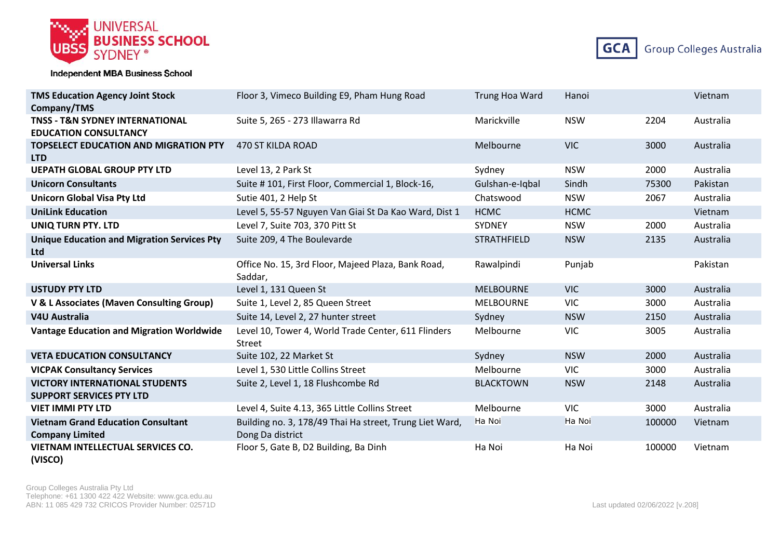



| <b>TMS Education Agency Joint Stock</b><br>Company/TMS                     | Floor 3, Vimeco Building E9, Pham Hung Road                                 | Trung Hoa Ward     | Hanoi       |        | Vietnam   |
|----------------------------------------------------------------------------|-----------------------------------------------------------------------------|--------------------|-------------|--------|-----------|
| <b>TNSS - T&amp;N SYDNEY INTERNATIONAL</b><br><b>EDUCATION CONSULTANCY</b> | Suite 5, 265 - 273 Illawarra Rd                                             | Marickville        | <b>NSW</b>  | 2204   | Australia |
| <b>TOPSELECT EDUCATION AND MIGRATION PTY</b><br><b>LTD</b>                 | 470 ST KILDA ROAD                                                           | Melbourne          | <b>VIC</b>  | 3000   | Australia |
| <b>UEPATH GLOBAL GROUP PTY LTD</b>                                         | Level 13, 2 Park St                                                         | Sydney             | <b>NSW</b>  | 2000   | Australia |
| <b>Unicorn Consultants</b>                                                 | Suite #101, First Floor, Commercial 1, Block-16,                            | Gulshan-e-Iqbal    | Sindh       | 75300  | Pakistan  |
| <b>Unicorn Global Visa Pty Ltd</b>                                         | Sutie 401, 2 Help St                                                        | Chatswood          | <b>NSW</b>  | 2067   | Australia |
| <b>UniLink Education</b>                                                   | Level 5, 55-57 Nguyen Van Giai St Da Kao Ward, Dist 1                       | <b>HCMC</b>        | <b>HCMC</b> |        | Vietnam   |
| <b>UNIQ TURN PTY. LTD</b>                                                  | Level 7, Suite 703, 370 Pitt St                                             | SYDNEY             | <b>NSW</b>  | 2000   | Australia |
| <b>Unique Education and Migration Services Pty</b><br><b>Ltd</b>           | Suite 209, 4 The Boulevarde                                                 | <b>STRATHFIELD</b> | <b>NSW</b>  | 2135   | Australia |
| <b>Universal Links</b>                                                     | Office No. 15, 3rd Floor, Majeed Plaza, Bank Road,<br>Saddar,               | Rawalpindi         | Punjab      |        | Pakistan  |
| <b>USTUDY PTY LTD</b>                                                      | Level 1, 131 Queen St                                                       | <b>MELBOURNE</b>   | <b>VIC</b>  | 3000   | Australia |
| V & L Associates (Maven Consulting Group)                                  | Suite 1, Level 2, 85 Queen Street                                           | <b>MELBOURNE</b>   | <b>VIC</b>  | 3000   | Australia |
| <b>V4U Australia</b>                                                       | Suite 14, Level 2, 27 hunter street                                         | Sydney             | <b>NSW</b>  | 2150   | Australia |
| <b>Vantage Education and Migration Worldwide</b>                           | Level 10, Tower 4, World Trade Center, 611 Flinders<br>Street               | Melbourne          | <b>VIC</b>  | 3005   | Australia |
| <b>VETA EDUCATION CONSULTANCY</b>                                          | Suite 102, 22 Market St                                                     | Sydney             | <b>NSW</b>  | 2000   | Australia |
| <b>VICPAK Consultancy Services</b>                                         | Level 1, 530 Little Collins Street                                          | Melbourne          | <b>VIC</b>  | 3000   | Australia |
| <b>VICTORY INTERNATIONAL STUDENTS</b><br><b>SUPPORT SERVICES PTY LTD</b>   | Suite 2, Level 1, 18 Flushcombe Rd                                          | <b>BLACKTOWN</b>   | <b>NSW</b>  | 2148   | Australia |
| <b>VIET IMMI PTY LTD</b>                                                   | Level 4, Suite 4.13, 365 Little Collins Street                              | Melbourne          | <b>VIC</b>  | 3000   | Australia |
| <b>Vietnam Grand Education Consultant</b><br><b>Company Limited</b>        | Building no. 3, 178/49 Thai Ha street, Trung Liet Ward,<br>Dong Da district | Ha Noi             | Ha Noi      | 100000 | Vietnam   |
| <b>VIETNAM INTELLECTUAL SERVICES CO.</b><br>(VISCO)                        | Floor 5, Gate B, D2 Building, Ba Dinh                                       | Ha Noi             | Ha Noi      | 100000 | Vietnam   |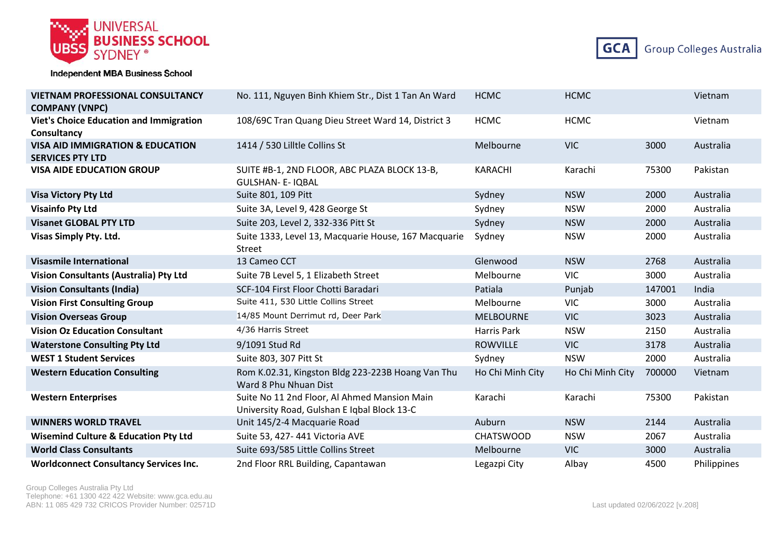



| <b>VIETNAM PROFESSIONAL CONSULTANCY</b><br><b>COMPANY (VNPC)</b>       | No. 111, Nguyen Binh Khiem Str., Dist 1 Tan An Ward                                         | <b>HCMC</b>      | <b>HCMC</b>      |        | Vietnam     |
|------------------------------------------------------------------------|---------------------------------------------------------------------------------------------|------------------|------------------|--------|-------------|
| <b>Viet's Choice Education and Immigration</b><br>Consultancy          | 108/69C Tran Quang Dieu Street Ward 14, District 3                                          | <b>HCMC</b>      | <b>HCMC</b>      |        | Vietnam     |
| <b>VISA AID IMMIGRATION &amp; EDUCATION</b><br><b>SERVICES PTY LTD</b> | 1414 / 530 Lilltle Collins St                                                               | Melbourne        | <b>VIC</b>       | 3000   | Australia   |
| <b>VISA AIDE EDUCATION GROUP</b>                                       | SUITE #B-1, 2ND FLOOR, ABC PLAZA BLOCK 13-B,<br><b>GULSHAN- E- IQBAL</b>                    | <b>KARACHI</b>   | Karachi          | 75300  | Pakistan    |
| <b>Visa Victory Pty Ltd</b>                                            | Suite 801, 109 Pitt                                                                         | Sydney           | <b>NSW</b>       | 2000   | Australia   |
| <b>Visainfo Pty Ltd</b>                                                | Suite 3A, Level 9, 428 George St                                                            | Sydney           | <b>NSW</b>       | 2000   | Australia   |
| <b>Visanet GLOBAL PTY LTD</b>                                          | Suite 203, Level 2, 332-336 Pitt St                                                         | Sydney           | <b>NSW</b>       | 2000   | Australia   |
| <b>Visas Simply Pty. Ltd.</b>                                          | Suite 1333, Level 13, Macquarie House, 167 Macquarie<br>Street                              | Sydney           | <b>NSW</b>       | 2000   | Australia   |
| <b>Visasmile International</b>                                         | 13 Cameo CCT                                                                                | Glenwood         | <b>NSW</b>       | 2768   | Australia   |
| <b>Vision Consultants (Australia) Pty Ltd</b>                          | Suite 7B Level 5, 1 Elizabeth Street                                                        | Melbourne        | <b>VIC</b>       | 3000   | Australia   |
| <b>Vision Consultants (India)</b>                                      | SCF-104 First Floor Chotti Baradari                                                         | Patiala          | Punjab           | 147001 | India       |
| <b>Vision First Consulting Group</b>                                   | Suite 411, 530 Little Collins Street                                                        | Melbourne        | <b>VIC</b>       | 3000   | Australia   |
| <b>Vision Overseas Group</b>                                           | 14/85 Mount Derrimut rd, Deer Park                                                          | <b>MELBOURNE</b> | <b>VIC</b>       | 3023   | Australia   |
| <b>Vision Oz Education Consultant</b>                                  | 4/36 Harris Street                                                                          | Harris Park      | <b>NSW</b>       | 2150   | Australia   |
| <b>Waterstone Consulting Pty Ltd</b>                                   | 9/1091 Stud Rd                                                                              | <b>ROWVILLE</b>  | <b>VIC</b>       | 3178   | Australia   |
| <b>WEST 1 Student Services</b>                                         | Suite 803, 307 Pitt St                                                                      | Sydney           | <b>NSW</b>       | 2000   | Australia   |
| <b>Western Education Consulting</b>                                    | Rom K.02.31, Kingston Bldg 223-223B Hoang Van Thu<br>Ward 8 Phu Nhuan Dist                  | Ho Chi Minh City | Ho Chi Minh City | 700000 | Vietnam     |
| <b>Western Enterprises</b>                                             | Suite No 11 2nd Floor, Al Ahmed Mansion Main<br>University Road, Gulshan E Iqbal Block 13-C | Karachi          | Karachi          | 75300  | Pakistan    |
| <b>WINNERS WORLD TRAVEL</b>                                            | Unit 145/2-4 Macquarie Road                                                                 | Auburn           | <b>NSW</b>       | 2144   | Australia   |
| <b>Wisemind Culture &amp; Education Pty Ltd</b>                        | Suite 53, 427-441 Victoria AVE                                                              | <b>CHATSWOOD</b> | <b>NSW</b>       | 2067   | Australia   |
| <b>World Class Consultants</b>                                         | Suite 693/585 Little Collins Street                                                         | Melbourne        | <b>VIC</b>       | 3000   | Australia   |
| <b>Worldconnect Consultancy Services Inc.</b>                          | 2nd Floor RRL Building, Capantawan                                                          | Legazpi City     | Albay            | 4500   | Philippines |

Group Colleges Australia Pty Ltd Telephone: +61 1300 422 422 Website: www.gca.edu.au ABN: 11 085 429 732 CRICOS Provider Number: 02571D Last updated 02/06/2022 [v.208]